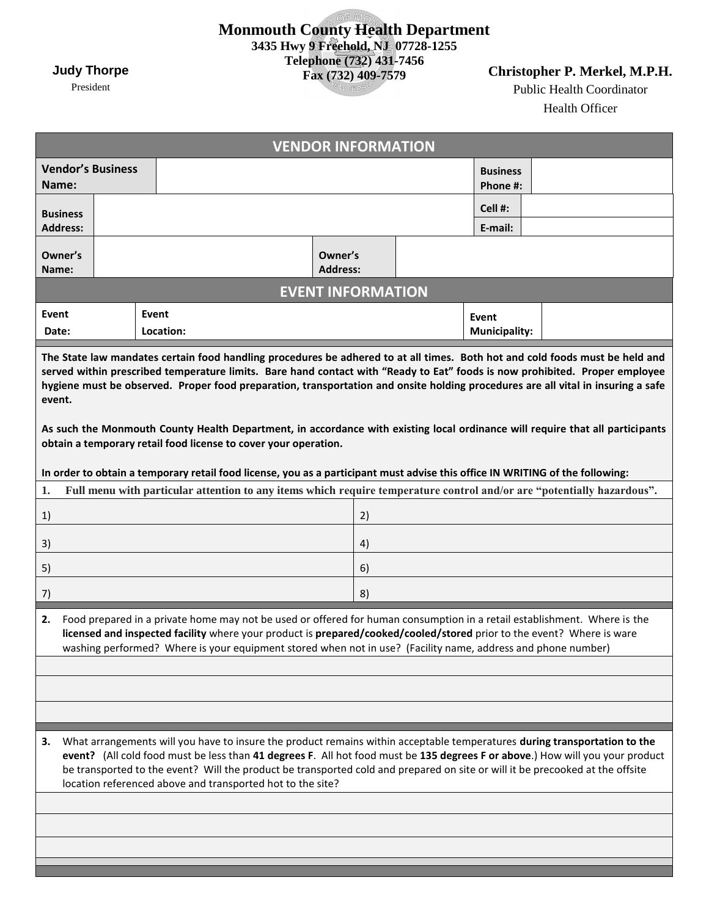## **Monmouth County Health Department 3435 Hwy 9 Freehold, NJ 07728-1255 Telephone (732) 431-7456 Fax (732) 409-7579**

**Christopher P. Merkel, M.P.H.**

Public Health Coordinator Health Officer

٠

|                                                                                                                                                                                                                                                                                                                                                                                                           |                                                                                                                                                                                                                                                                                                                                                                                                                                                           |           |  |  |  |  |  |  |  |  |  |  |  |  |  |  |                            | <b>VENDOR INFORMATION</b> |  |  |  |  |                      |                             |  |  |  |  |  |  |  |  |
|-----------------------------------------------------------------------------------------------------------------------------------------------------------------------------------------------------------------------------------------------------------------------------------------------------------------------------------------------------------------------------------------------------------|-----------------------------------------------------------------------------------------------------------------------------------------------------------------------------------------------------------------------------------------------------------------------------------------------------------------------------------------------------------------------------------------------------------------------------------------------------------|-----------|--|--|--|--|--|--|--|--|--|--|--|--|--|--|----------------------------|---------------------------|--|--|--|--|----------------------|-----------------------------|--|--|--|--|--|--|--|--|
| <b>Vendor's Business</b><br>Name:                                                                                                                                                                                                                                                                                                                                                                         |                                                                                                                                                                                                                                                                                                                                                                                                                                                           |           |  |  |  |  |  |  |  |  |  |  |  |  |  |  |                            |                           |  |  |  |  |                      | <b>Business</b><br>Phone #: |  |  |  |  |  |  |  |  |
| <b>Business</b>                                                                                                                                                                                                                                                                                                                                                                                           |                                                                                                                                                                                                                                                                                                                                                                                                                                                           |           |  |  |  |  |  |  |  |  |  |  |  |  |  |  |                            |                           |  |  |  |  |                      | Cell #:                     |  |  |  |  |  |  |  |  |
| <b>Address:</b>                                                                                                                                                                                                                                                                                                                                                                                           |                                                                                                                                                                                                                                                                                                                                                                                                                                                           |           |  |  |  |  |  |  |  |  |  |  |  |  |  |  |                            |                           |  |  |  |  |                      | E-mail:                     |  |  |  |  |  |  |  |  |
| Owner's<br>Name:                                                                                                                                                                                                                                                                                                                                                                                          |                                                                                                                                                                                                                                                                                                                                                                                                                                                           |           |  |  |  |  |  |  |  |  |  |  |  |  |  |  | Owner's<br><b>Address:</b> |                           |  |  |  |  |                      |                             |  |  |  |  |  |  |  |  |
|                                                                                                                                                                                                                                                                                                                                                                                                           |                                                                                                                                                                                                                                                                                                                                                                                                                                                           |           |  |  |  |  |  |  |  |  |  |  |  |  |  |  |                            | <b>EVENT INFORMATION</b>  |  |  |  |  |                      |                             |  |  |  |  |  |  |  |  |
| Event                                                                                                                                                                                                                                                                                                                                                                                                     |                                                                                                                                                                                                                                                                                                                                                                                                                                                           | Event     |  |  |  |  |  |  |  |  |  |  |  |  |  |  |                            |                           |  |  |  |  | Event                |                             |  |  |  |  |  |  |  |  |
| Date:                                                                                                                                                                                                                                                                                                                                                                                                     |                                                                                                                                                                                                                                                                                                                                                                                                                                                           | Location: |  |  |  |  |  |  |  |  |  |  |  |  |  |  |                            |                           |  |  |  |  | <b>Municipality:</b> |                             |  |  |  |  |  |  |  |  |
| The State law mandates certain food handling procedures be adhered to at all times. Both hot and cold foods must be held and<br>served within prescribed temperature limits. Bare hand contact with "Ready to Eat" foods is now prohibited. Proper employee<br>hygiene must be observed. Proper food preparation, transportation and onsite holding procedures are all vital in insuring a safe<br>event. |                                                                                                                                                                                                                                                                                                                                                                                                                                                           |           |  |  |  |  |  |  |  |  |  |  |  |  |  |  |                            |                           |  |  |  |  |                      |                             |  |  |  |  |  |  |  |  |
|                                                                                                                                                                                                                                                                                                                                                                                                           | As such the Monmouth County Health Department, in accordance with existing local ordinance will require that all participants<br>obtain a temporary retail food license to cover your operation.                                                                                                                                                                                                                                                          |           |  |  |  |  |  |  |  |  |  |  |  |  |  |  |                            |                           |  |  |  |  |                      |                             |  |  |  |  |  |  |  |  |
| In order to obtain a temporary retail food license, you as a participant must advise this office IN WRITING of the following:                                                                                                                                                                                                                                                                             |                                                                                                                                                                                                                                                                                                                                                                                                                                                           |           |  |  |  |  |  |  |  |  |  |  |  |  |  |  |                            |                           |  |  |  |  |                      |                             |  |  |  |  |  |  |  |  |
| 1.                                                                                                                                                                                                                                                                                                                                                                                                        | Full menu with particular attention to any items which require temperature control and/or are "potentially hazardous".                                                                                                                                                                                                                                                                                                                                    |           |  |  |  |  |  |  |  |  |  |  |  |  |  |  |                            |                           |  |  |  |  |                      |                             |  |  |  |  |  |  |  |  |
| 1)                                                                                                                                                                                                                                                                                                                                                                                                        |                                                                                                                                                                                                                                                                                                                                                                                                                                                           |           |  |  |  |  |  |  |  |  |  |  |  |  |  |  |                            | 2)                        |  |  |  |  |                      |                             |  |  |  |  |  |  |  |  |
| 3)                                                                                                                                                                                                                                                                                                                                                                                                        |                                                                                                                                                                                                                                                                                                                                                                                                                                                           |           |  |  |  |  |  |  |  |  |  |  |  |  |  |  |                            | 4)                        |  |  |  |  |                      |                             |  |  |  |  |  |  |  |  |
| 5)                                                                                                                                                                                                                                                                                                                                                                                                        |                                                                                                                                                                                                                                                                                                                                                                                                                                                           |           |  |  |  |  |  |  |  |  |  |  |  |  |  |  |                            | 6)                        |  |  |  |  |                      |                             |  |  |  |  |  |  |  |  |
| 7)                                                                                                                                                                                                                                                                                                                                                                                                        |                                                                                                                                                                                                                                                                                                                                                                                                                                                           |           |  |  |  |  |  |  |  |  |  |  |  |  |  |  |                            | 8)                        |  |  |  |  |                      |                             |  |  |  |  |  |  |  |  |
| 2.                                                                                                                                                                                                                                                                                                                                                                                                        | Food prepared in a private home may not be used or offered for human consumption in a retail establishment. Where is the<br>licensed and inspected facility where your product is prepared/cooked/cooled/stored prior to the event? Where is ware<br>washing performed? Where is your equipment stored when not in use? (Facility name, address and phone number)                                                                                         |           |  |  |  |  |  |  |  |  |  |  |  |  |  |  |                            |                           |  |  |  |  |                      |                             |  |  |  |  |  |  |  |  |
|                                                                                                                                                                                                                                                                                                                                                                                                           |                                                                                                                                                                                                                                                                                                                                                                                                                                                           |           |  |  |  |  |  |  |  |  |  |  |  |  |  |  |                            |                           |  |  |  |  |                      |                             |  |  |  |  |  |  |  |  |
|                                                                                                                                                                                                                                                                                                                                                                                                           |                                                                                                                                                                                                                                                                                                                                                                                                                                                           |           |  |  |  |  |  |  |  |  |  |  |  |  |  |  |                            |                           |  |  |  |  |                      |                             |  |  |  |  |  |  |  |  |
| з.                                                                                                                                                                                                                                                                                                                                                                                                        | What arrangements will you have to insure the product remains within acceptable temperatures during transportation to the<br>event? (All cold food must be less than 41 degrees F. All hot food must be 135 degrees F or above.) How will you your product<br>be transported to the event? Will the product be transported cold and prepared on site or will it be precooked at the offsite<br>location referenced above and transported hot to the site? |           |  |  |  |  |  |  |  |  |  |  |  |  |  |  |                            |                           |  |  |  |  |                      |                             |  |  |  |  |  |  |  |  |
|                                                                                                                                                                                                                                                                                                                                                                                                           |                                                                                                                                                                                                                                                                                                                                                                                                                                                           |           |  |  |  |  |  |  |  |  |  |  |  |  |  |  |                            |                           |  |  |  |  |                      |                             |  |  |  |  |  |  |  |  |
|                                                                                                                                                                                                                                                                                                                                                                                                           |                                                                                                                                                                                                                                                                                                                                                                                                                                                           |           |  |  |  |  |  |  |  |  |  |  |  |  |  |  |                            |                           |  |  |  |  |                      |                             |  |  |  |  |  |  |  |  |
|                                                                                                                                                                                                                                                                                                                                                                                                           |                                                                                                                                                                                                                                                                                                                                                                                                                                                           |           |  |  |  |  |  |  |  |  |  |  |  |  |  |  |                            |                           |  |  |  |  |                      |                             |  |  |  |  |  |  |  |  |

**Judy Thorpe**

President